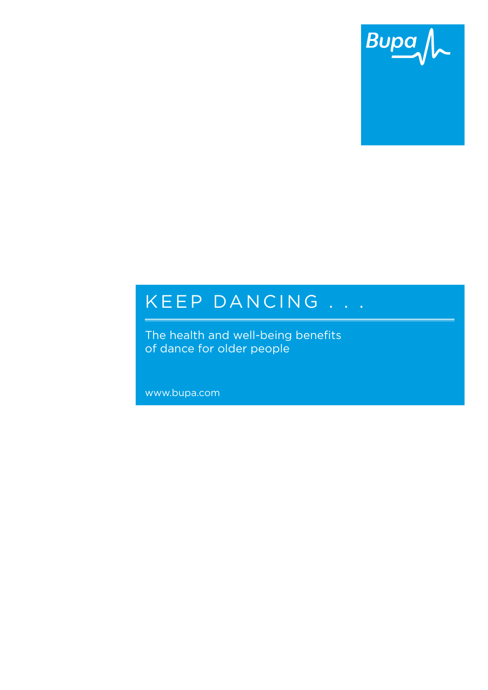

# K E E P DAN C IN G . . .

The health and well-being benefits of dance for older people

www.bupa.com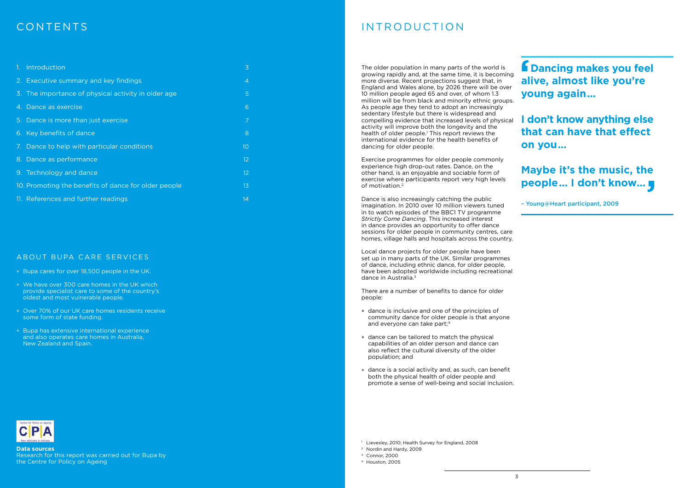Exercise programmes for older people commonly experience high drop-out rates. Dance, on the other hand, is an enjoyable and sociable form of exercise where participants report very high levels of motivation.2

Dance is also increasingly catching the public imagination. In 2010 over 10 million viewers tuned in to watch episodes of the BBC1 TV programme *Strictly Come Dancing*. This increased interest in dance provides an opportunity to offer dance sessions for older people in community centres, care homes, village halls and hospitals across the country.

Local dance projects for older people have been set up in many parts of the UK. Similar programmes of dance, including ethnic dance, for older people, have been adopted worldwide including recreational dance in Australia.3

There are a number of benefits to dance for older people:

- <sup>o</sup> Bupa cares for over 18,500 people in the UK.
- We have over 300 care homes in the UK which provide specialist care to some of the country's oldest and most vulnerable people.
- Over 70% of our UK care homes residents receive some form of state funding.
- Bupa has extensive international experience and also operates care homes in Australia, New Zealand and Spain.



The older population in many parts of the world is growing rapidly and, at the same time, it is becoming more diverse. Recent projections suggest that, in England and Wales alone, by 2026 there will be over 10 million people aged 65 and over, of whom 1.3 million will be from black and minority ethnic groups. As people age they tend to adopt an increasingly sedentary lifestyle but there is widespread and compelling evidence that increased levels of physical activity will improve both the longevity and the health of older people.<sup>1</sup> This report reviews the international evidence for the health benefits of dancing for older people. **f** Dancing makes you feel **f** Dancing makes you fee<br>alive, almost like you're **young again… I don't know anything else that can have that effect on you…**

- dance is inclusive and one of the principles of community dance for older people is that anyone and everyone can take part;4
- dance can be tailored to match the physical capabilities of an older person and dance can also reflect the cultural diversity of the older population; and
- dance is a social activity and, as such, can benefit both the physical health of older people and promote a sense of well-being and social inclusion.

<sup>1</sup> Lievesley, 2010; Health Survey for England, 2008

| 1. Introduction                                      | 3              |
|------------------------------------------------------|----------------|
| 2. Executive summary and key findings                | $\overline{4}$ |
| 3. The importance of physical activity in older age  | 5              |
| 4. Dance as exercise                                 | 6              |
| 5. Dance is more than just exercise                  | 7              |
| 6. Key benefits of dance                             | 8              |
| 7. Dance to help with particular conditions          | 10             |
| 8. Dance as performance                              | 12             |
| 9. Technology and dance                              | 12             |
| 10. Promoting the benefits of dance for older people | 13             |
| 11. References and further readings                  | 14             |

### ABOUT BUPA CARE SERVICES

**Data sources**

Research for this report was carried out for Bupa by the Centre for Policy on Ageing

# contents and introduction

- <sup>2</sup> Nordin and Hardy, 2009
- <sup>3</sup> Connor, 2000
- <sup>4</sup> Houston, 2005

**Maybe it's the music, the people… I don't know… '**

– Young@Heart participant, 2009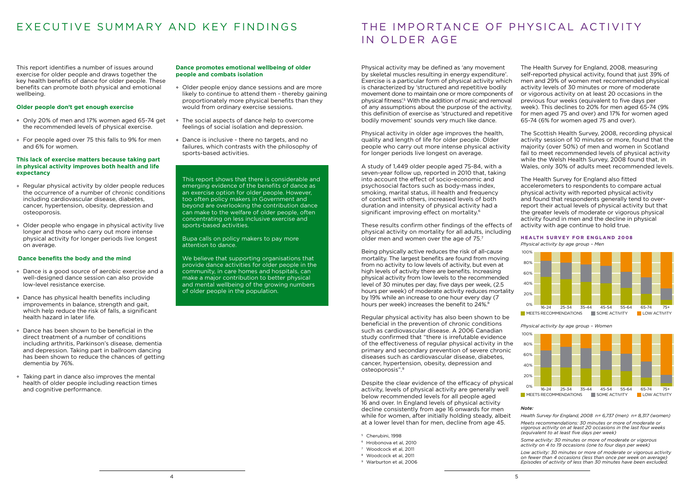# EXECUTIVE SUMMARY AND KEY FINDINGS THE IMPORTANCE OF PHYSICAL ACTIVITY

This report identifies a number of issues around exercise for older people and draws together the key health benefits of dance for older people. These benefits can promote both physical and emotional wellbeing.

### **Older people don't get enough exercise**

- Only 20% of men and 17% women aged 65-74 get the recommended levels of physical exercise.
- For people aged over 75 this falls to 9% for men and 6% for women.

### **This lack of exercise matters because taking part in physical activity improves both health and life expectancy**

- Regular physical activity by older people reduces the occurrence of a number of chronic conditions including cardiovascular disease, diabetes, cancer, hypertension, obesity, depression and osteoporosis.
- Older people who engage in physical activity live longer and those who carry out more intense physical activity for longer periods live longest on average.

### **Dance benefits the body and the mind**

- Dance is a good source of aerobic exercise and a well-designed dance session can also provide low-level resistance exercise.
- Dance has physical health benefits including improvements in balance, strength and gait, which help reduce the risk of falls, a significant health hazard in later life.
- Dance has been shown to be beneficial in the direct treatment of a number of conditions including arthritis, Parkinson's disease, dementia and depression. Taking part in ballroom dancing has been shown to reduce the chances of getting dementia by 76%.
- Taking part in dance also improves the mental health of older people including reaction times and cognitive performance.

We believe that supporting organisations that provide dance activities for older people in the community, in care homes and hospitals, can make a major contribution to better physical and mental wellbeing of the growing numbers of older people in the population.

# IN OLDER AGE

#### **Dance promotes emotional wellbeing of older people and combats isolation**

A study of 1,449 older people aged 75-84, with a seven-year follow up, reported in 2010 that, taking into account the effect of socio-economic and psychosocial factors such as body-mass index, smoking, marital status, ill health and frequency of contact with others, increased levels of both duration and intensity of physical activity had a significant improving effect on mortality.<sup>6</sup>

- Older people enjoy dance sessions and are more likely to continue to attend them - thereby gaining proportionately more physical benefits than they would from ordinary exercise sessions.
- The social aspects of dance help to overcome feelings of social isolation and depression.
- Dance is inclusive there no targets, and no failures, which contrasts with the philosophy of sports-based activities.

These results confirm other findings of the effects of physical activity on mortality for all adults, including older men and women over the age of 75.7

Being physically active reduces the risk of all-cause mortality. The largest benefits are found from moving from no activity to low levels of activity, but even at high levels of activity there are benefits. Increasing physical activity from low levels to the recommended level of 30 minutes per day, five days per week, (2.5 hours per week) of moderate activity reduces mortality by 19% while an increase to one hour every day (7 hours per week) increases the benefit to 24%.<sup>8</sup>

This report shows that there is considerable and emerging evidence of the benefits of dance as an exercise option for older people. However, too often policy makers in Government and beyond are overlooking the contribution dance can make to the welfare of older people, often concentrating on less inclusive exercise and sports-based activities.

Bupa calls on policy makers to pay more attention to dance.

#### **HEALTH SURVEY FOR ENGLAND 2008** *Physical activity by age group – Men*

Physical activity in older age improves the health, quality and length of life for older people. Older people who carry out more intense physical activity for longer periods live longest on average.

Physical activity may be defined as 'any movement by skeletal muscles resulting in energy expenditure'. Exercise is a particular form of physical activity which is characterized by 'structured and repetitive bodily movement done to maintain one or more components of physical fitness'.5 With the addition of music and removal of any assumptions about the purpose of the activity, this definition of exercise as 'structured and repetitive bodily movement' sounds very much like dance. The Health Survey for England, 2008, measuring self-reported physical activity, found that just 39% of men and 29% of women met recommended physical activity levels of 30 minutes or more of moderate or vigorous activity on at least 20 occasions in the previous four weeks (equivalent to five days per week). This declines to 20% for men aged 65-74 (9% for men aged 75 and over) and 17% for women aged 65-74 (6% for women aged 75 and over).

Regular physical activity has also been shown to be beneficial in the prevention of chronic conditions such as cardiovascular disease. A 2006 Canadian study confirmed that "there is irrefutable evidence of the effectiveness of regular physical activity in the primary and secondary prevention of severe chronic diseases such as cardiovascular disease, diabetes, cancer, hypertension, obesity, depression and osteoporosis".9

Despite the clear evidence of the efficacy of physical activity, levels of physical activity are generally well below recommended levels for all people aged 16 and over. In England levels of physical activity decline consistently from age 16 onwards for men while for women, after initially holding steady, albeit at a lower level than for men, decline from age 45.

The Scottish Health Survey, 2008, recording physical activity session of 10 minutes or more, found that the majority (over 50%) of men and women in Scotland fail to meet recommended levels of physical activity while the Welsh Health Survey, 2008 found that, in Wales, only 30% of adults meet recommended levels.

The Health Survey for England also fitted accelerometers to respondents to compare actual physical activity with reported physical activity and found that respondents generally tend to overreport their actual levels of physical activity but that the greater levels of moderate or vigorous physical activity found in men and the decline in physical activity with age continue to hold true.

- <sup>5</sup> Cherubini, 1998
- <sup>6</sup> Hrobonova et al, 2010
- <sup>7</sup> Woodcock et al, 2011
- <sup>8</sup> Woodcock et al, 2011
- <sup>9</sup> Warburton et al, 2006
- 



### *Physical activity by age group – Women*



MEETS RECOMMENDATIONS SOME ACTIVITY LOW ACTIVITY

### *Note:*

*Health Survey for England, 2008 n= 6,737 (men) n= 8,317 (women) Meets recommendations: 30 minutes or more of moderate or vigorous activity on at least 20 occasions in the last four weeks (equivalent to at least five days per week)*

*Some activity: 30 minutes or more of moderate or vigorous activity on 4 to 19 occasions (one to four days per week)*

*Low activity: 30 minutes or more of moderate or vigorous activity on fewer than 4 occasions (less than once per week on average) Episodes of activity of less than 30 minutes have been excluded.*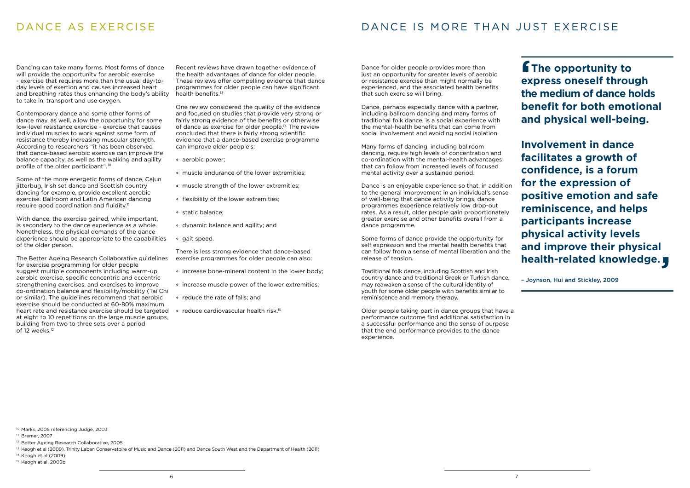### Dancing can take many forms. Most forms of dance will provide the opportunity for aerobic exercise - exercise that requires more than the usual day-today levels of exertion and causes increased heart and breathing rates thus enhancing the body's ability to take in, transport and use oxygen.

Some of the more energetic forms of dance, Cajun jitterbug, Irish set dance and Scottish country dancing for example, provide excellent aerobic exercise. Ballroom and Latin American dancing require good coordination and fluidity.<sup>11</sup>

Contemporary dance and some other forms of dance may, as well, allow the opportunity for some low-level resistance exercise - exercise that causes individual muscles to work against some form of resistance thereby increasing muscular strength. According to researchers "it has been observed that dance-based aerobic exercise can improve the balance capacity, as well as the walking and agility profile of the older participant".10

Recent reviews have drawn together evidence of the health advantages of dance for older people. These reviews offer compelling evidence that dance programmes for older people can have significant health benefits.<sup>13</sup>

With dance, the exercise gained, while important, is secondary to the dance experience as a whole. Nonetheless, the physical demands of the dance experience should be appropriate to the capabilities of the older person.

- aerobic power;
- o muscle endurance of the lower extremities:
- o muscle strength of the lower extremities;
- o flexibility of the lower extremities;
- static balance;
- dynamic balance and agility; and
- <sup>o</sup> gait speed.

The Better Ageing Research Collaborative guidelines for exercise programming for older people suggest multiple components including warm-up, aerobic exercise, specific concentric and eccentric strengthening exercises, and exercises to improve co-ordination balance and flexibility/mobility (Tai Chi or similar). The guidelines recommend that aerobic exercise should be conducted at 60-80% maximum heart rate and resistance exercise should be targeted  $\circ$  reduce cardiovascular health risk.<sup>15</sup> at eight to 10 repetitions on the large muscle groups, building from two to three sets over a period of 12 weeks.12

One review considered the quality of the evidence and focused on studies that provide very strong or fairly strong evidence of the benefits or otherwise of dance as exercise for older people.<sup>14</sup> The review concluded that there is fairly strong scientific evidence that a dance-based exercise programme can improve older people's:

There is less strong evidence that dance-based exercise programmes for older people can also:

- $\circ$  increase bone-mineral content in the lower body;
- o increase muscle power of the lower extremities;
- o reduce the rate of falls; and
- 

# DANCE AS EXERCISE DANCE IS MORE THAN JUST EXERCISE

**f** The opportunity to **express oneself through the medium of dance holds benefit for both emotional and physical well-being. '**

Dance for older people provides more than just an opportunity for greater levels of aerobic or resistance exercise than might normally be experienced, and the associated health benefits that such exercise will bring.

Dance, perhaps especially dance with a partner, including ballroom dancing and many forms of traditional folk dance, is a social experience with the mental-health benefits that can come from social involvement and avoiding social isolation.

Many forms of dancing, including ballroom dancing, require high levels of concentration and co-ordination with the mental-health advantages that can follow from increased levels of focused mental activity over a sustained period.

Dance is an enjoyable experience so that, in addition to the general improvement in an individual's sense of well-being that dance activity brings, dance programmes experience relatively low drop-out rates. As a result, older people gain proportionately greater exercise and other benefits overall from a dance programme.

Some forms of dance provide the opportunity for self expression and the mental health benefits that can follow from a sense of mental liberation and the release of tension.

Traditional folk dance, including Scottish and Irish country dance and traditional Greek or Turkish dance, may reawaken a sense of the cultural identity of youth for some older people with benefits similar to reminiscence and memory therapy.

Older people taking part in dance groups that have a performance outcome find additional satisfaction in a successful performance and the sense of purpose that the end performance provides to the dance experience.

**Involvement in dance facilitates a growth of confidence, is a forum for the expression of positive emotion and safe reminiscence, and helps participants increase physical activity levels and improve their physical health-related knowledge. '**

– Joynson, Hui and Stickley, 2009

<sup>10</sup> Marks, 2005 referencing Judge, 2003

<sup>&</sup>lt;sup>11</sup> Bremer, 2007

<sup>&</sup>lt;sup>12</sup> Better Ageing Research Collaborative, 2005

<sup>&</sup>lt;sup>13</sup> Keogh et al (2009), Trinity Laban Conservatoire of Music and Dance (2011) and Dance South West and the Department of Health (2011)

<sup>14</sup> Keogh et al (2009)

<sup>15</sup> Keogh et al, 2009b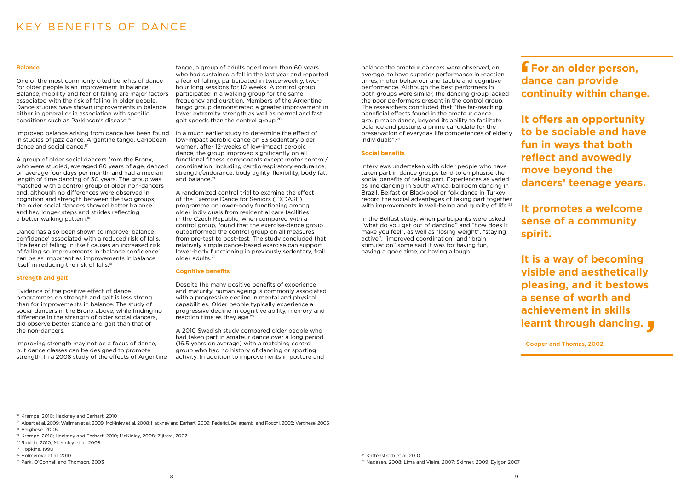## KEY BENEFITS OF DANCE

### **Balance**

One of the most commonly cited benefits of dance for older people is an improvement in balance. Balance, mobility and fear of falling are major factors associated with the risk of falling in older people. Dance studies have shown improvements in balance either in general or in association with specific conditions such as Parkinson's disease.16

A group of older social dancers from the Bronx, who were studied, averaged 80 years of age, danced on average four days per month, and had a median length of time dancing of 30 years. The group was matched with a control group of older non-dancers and, although no differences were observed in cognition and strength between the two groups, the older social dancers showed better balance and had longer steps and strides reflecting a better walking pattern.<sup>18</sup>

Improved balance arising from dance has been found in studies of jazz dance, Argentine tango, Caribbean dance and social dance.17

In a much earlier study to determine the effect of low-impact aerobic dance on 53 sedentary older women, after 12-weeks of low-impact aerobic dance, the group improved significantly on all functional fitness components except motor control/ coordination, including cardiorespiratory endurance, strength/endurance, body agility, flexibility, body fat, and balance.<sup>21</sup>

Dance has also been shown to improve 'balance confidence' associated with a reduced risk of falls. The fear of falling in itself causes an increased risk of falling so improvements in 'balance confidence' can be as important as improvements in balance itself in reducing the risk of falls.19

### **Strength and gait**

Evidence of the positive effect of dance programmes on strength and gait is less strong than for improvements in balance. The study of social dancers in the Bronx above, while finding no difference in the strength of older social dancers, did observe better stance and gait than that of the non-dancers.

Despite the many positive benefits of experience and maturity, human ageing is commonly associated with a progressive decline in mental and physical capabilities. Older people typically experience a progressive decline in cognitive ability, memory and reaction time as they age.<sup>23</sup>

Improving strength may not be a focus of dance, but dance classes can be designed to promote strength. In a 2008 study of the effects of Argentine tango, a group of adults aged more than 60 years who had sustained a fall in the last year and reported a fear of falling, participated in twice-weekly, twohour long sessions for 10 weeks. A control group participated in a walking group for the same frequency and duration. Members of the Argentine tango group demonstrated a greater improvement in lower extremity strength as well as normal and fast gait speeds than the control group.20

> Interviews undertaken with older people who have taken part in dance groups tend to emphasise the social benefits of taking part. Experiences as varied as line dancing in South Africa, ballroom dancing in Brazil, Belfast or Blackpool or folk dance in Turkey record the social advantages of taking part together with improvements in well-being and quality of life.<sup>25</sup>

A randomized control trial to examine the effect of the Exercise Dance for Seniors (EXDASE) programme on lower-body functioning among older individuals from residential care facilities in the Czech Republic, when compared with a control group, found that the exercise-dance group outperformed the control group on all measures from pre-test to post-test. The study concluded that relatively simple dance-based exercise can support lower-body functioning in previously sedentary, frail older adults.22

**It is a way of becoming visible and aesthetically pleasing, and it bestows a sense of worth and achievement in skills learnt through dancing.**<br> **Cooper and Thomas, 2002** 

**f** For an older person, **dance can provide continuity within change. '**

#### **Cognitive benefits**

A 2010 Swedish study compared older people who had taken part in amateur dance over a long period (16.5 years on average) with a matching control group who had no history of dancing or sporting activity. In addition to improvements in posture and balance the amateur dancers were observed, on average, to have superior performance in reaction times, motor behaviour and tactile and cognitive performance. Although the best performers in both groups were similar, the dancing group lacked the poor performers present in the control group. The researchers concluded that "the far-reaching beneficial effects found in the amateur dance group make dance, beyond its ability to facilitate balance and posture, a prime candidate for the preservation of everyday life competences of elderly individuals".24

#### **Social benefits**

In the Belfast study, when participants were asked "what do you get out of dancing" and "how does it make you feel", as well as "losing weight", "staying active", "improved coordination" and "brain stimulation" some said it was for having fun, having a good time, or having a laugh.

<sup>16</sup> Krampe, 2010; Hackney and Earhart, 2010

<sup>17</sup> Alpert et al, 2009; Wallman et al, 2009; McKinley et al, 2008; Hackney and Earhart, 2009; Federici, Bellagambi and Rocchi, 2005; Verghese, 2006

<sup>24</sup> Kattenstroth et al, 2010

**It offers an opportunity to be sociable and have fun in ways that both reflect and avowedly move beyond the dancers' teenage years.**

**It promotes a welcome sense of a community spirit.** 

– Cooper and Thomas, 2002

<sup>&</sup>lt;sup>18</sup> Verghese, 2006

<sup>19</sup> Krampe, 2010; Hackney and Earhart, 2010; McKinley, 2008; Zijlstra, 2007

<sup>20</sup> Rabbia, 2010; McKinley et al, 2008

<sup>21</sup> Hopkins, 1990

<sup>22</sup> Holmerová et al, 2010

<sup>23</sup> Park, O'Connell and Thomson, 2003

<sup>25</sup> Nadasen, 2008; Lima and Vieira, 2007; Skinner, 2009; Eyigor, 2007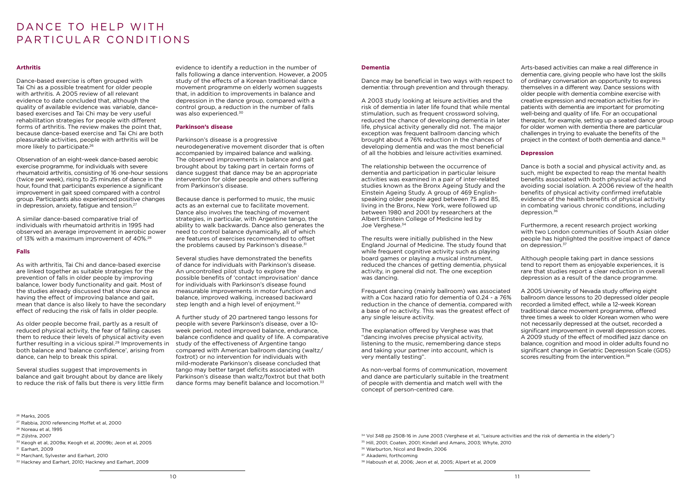# DANCE TO HELP WITH PARTICULAR CONDITIONS

### **Arthritis**

Dance-based exercise is often grouped with Tai Chi as a possible treatment for older people with arthritis. A 2005 review of all relevant evidence to date concluded that, although the quality of available evidence was variable, dancebased exercises and Tai Chi may be very useful rehabilitation strategies for people with different forms of arthritis. The review makes the point that, because dance-based exercise and Tai Chi are both pleasurable activities, people with arthritis will be more likely to participate.26

Observation of an eight-week dance-based aerobic exercise programme, for individuals with severe rheumatoid arthritis, consisting of 16 one-hour sessions (twice per week), rising to 25 minutes of dance in the hour, found that participants experience a significant improvement in gait speed compared with a control group. Participants also experienced positive changes in depression, anxiety, fatigue and tension.27

A similar dance-based comparative trial of individuals with rheumatoid arthritis in 1995 had observed an average improvement in aerobic power of 13% with a maximum improvement of 40%.28

### **Falls**

The relationship between the occurrence of dementia and participation in particular leisure activities was examined in a pair of inter-related studies known as the Bronx Ageing Study and the Einstein Ageing Study. A group of 469 Englishspeaking older people aged between 75 and 85, living in the Bronx, New York, were followed up between 1980 and 2001 by researchers at the Albert Einstein College of Medicine led by Joe Verghese.<sup>34</sup>

As with arthritis, Tai Chi and dance-based exercise are linked together as suitable strategies for the prevention of falls in older people by improving balance, lower body functionality and gait. Most of the studies already discussed that show dance as having the effect of improving balance and gait, mean that dance is also likely to have the secondary effect of reducing the risk of falls in older people.

As older people become frail, partly as a result of reduced physical activity, the fear of falling causes them to reduce their levels of physical activity even further resulting in a vicious spiral.<sup>29</sup> Improvements in both balance and 'balance confidence', arising from dance, can help to break this spiral.

Several studies suggest that improvements in balance and gait brought about by dance are likely to reduce the risk of falls but there is very little firm

evidence to identify a reduction in the number of falls following a dance intervention. However, a 2005 study of the effects of a Korean traditional dance movement programme on elderly women suggests that, in addition to improvements in balance and depression in the dance group, compared with a control group, a reduction in the number of falls was also experienced.<sup>30</sup>

### **Dementia**

Dance may be beneficial in two ways with respect to dementia: through prevention and through therapy.

Because dance is performed to music, the music acts as an external cue to facilitate movement. Dance also involves the teaching of movement strategies, in particular, with Argentine tango, the ability to walk backwards. Dance also generates the need to control balance dynamically, all of which are features of exercises recommended to offset the problems caused by Parkinson's disease.<sup>31</sup>

A 2003 study looking at leisure activities and the risk of dementia in later life found that while mental stimulation, such as frequent crossword solving, reduced the chance of developing dementia in later life, physical activity generally did not. The major exception was frequent ballroom dancing which brought about a 76% reduction in the chances of developing dementia and was the most beneficial of all the hobbies and leisure activities examined.

Several studies have demonstrated the benefits of dance for individuals with Parkinson's disease. An uncontrolled pilot study to explore the possible benefits of 'contact improvisation' dance for individuals with Parkinson's disease found measurable improvements in motor function and balance, improved walking, increased backward step length and a high level of enjoyment.<sup>32</sup>

A further study of 20 partnered tango lessons for people with severe Parkinson's disease, over a 10 week period, noted improved balance, endurance, balance confidence and quality of life. A comparative study of the effectiveness of Argentine tango compared with American ballroom dancing (waltz/ foxtrot) or no intervention for individuals with mild-moderate Parkinson's disease concluded that tango may better target deficits associated with Parkinson's disease than waltz/foxtrot but that both dance forms may benefit balance and locomotion.<sup>33</sup>

Arts-based activities can make a real difference in dementia care, giving people who have lost the skills of ordinary conversation an opportunity to express themselves in a different way. Dance sessions with older people with dementia combine exercise with creative expression and recreation activities for inpatients with dementia are important for promoting well-being and quality of life. For an occupational therapist, for example, setting up a seated dance group for older women with dementia there are particular challenges in trying to evaluate the benefits of the project in the context of both dementia and dance.<sup>35</sup>

The results were initially published in the New England Journal of Medicine. The study found that while frequent cognitive activity such as playing board games or playing a musical instrument, reduced the chances of getting dementia, physical activity, in general did not. The one exception was dancing.

Dance is both a social and physical activity and, as such, might be expected to reap the mental health benefits associated with both physical activity and avoiding social isolation. A 2006 review of the health benefits of physical activity confirmed irrefutable evidence of the health benefits of physical activity in combating various chronic conditions, including depression.<sup>36</sup>

Frequent dancing (mainly ballroom) was associated with a Cox hazard ratio for dementia of 0.24 - a 76% reduction in the chance of dementia, compared with a base of no activity. This was the greatest effect of any single leisure activity.

The explanation offered by Verghese was that "dancing involves precise physical activity, listening to the music, remembering dance steps and taking your partner into account, which is very mentally testing".

A 2005 University of Nevada study offering eight ballroom dance lessons to 20 depressed older people recorded a limited effect, while a 12-week Korean traditional dance movement programme, offered three times a week to older Korean women who were not necessarily depressed at the outset, recorded a significant improvement in overall depression scores. A 2009 study of the effect of modified jazz dance on balance, cognition and mood in older adults found no significant change in Geriatric Depression Scale (GDS) scores resulting from the intervention.<sup>38</sup>

As non-verbal forms of communication, movement and dance are particularly suitable in the treatment of people with dementia and match well with the concept of person-centred care.

- <sup>30</sup> Keogh et al, 2009a; Keogh et al, 2009b; Jeon et al, 2005
- <sup>31</sup> Earhart, 2009
- <sup>32</sup> Marchant, Sylvester and Earhart, 2010
- <sup>33</sup> Hackney and Earhart, 2010; Hackney and Earhart, 2009

### **Parkinson's disease**

Parkinson's disease is a progressive neurodegenerative movement disorder that is often accompanied by impaired balance and walking. The observed improvements in balance and gait brought about by taking part in certain forms of dance suggest that dance may be an appropriate intervention for older people and others suffering from Parkinson's disease.

### **Depression**

Furthermore, a recent research project working with two London communities of South Asian older people has highlighted the positive impact of dance on depression.37

Although people taking part in dance sessions tend to report them as enjoyable experiences, it is rare that studies report a clear reduction in overall depression as a result of the dance programme.

<sup>26</sup> Marks, 2005

- <sup>35</sup> Hill, 2001; Coaten, 2001; Kindell and Amans, 2003; Whyte, 2010
- <sup>36</sup> Warburton, Nicol and Bredin, 2006
- <sup>37</sup> Akademi, forthcoming
- <sup>38</sup> Haboush et al, 2006; Jeon et al, 2005; Alpert et al, 2009

<sup>27</sup> Rabbia, 2010 referencing Moffet et al, 2000

<sup>28</sup> Noreau et al, 1995

<sup>29</sup> Zijlstra, 2007

<sup>34</sup> Vol 348 pp 2508-16 in June 2003 (Verghese et al, "Leisure activities and the risk of dementia in the elderly")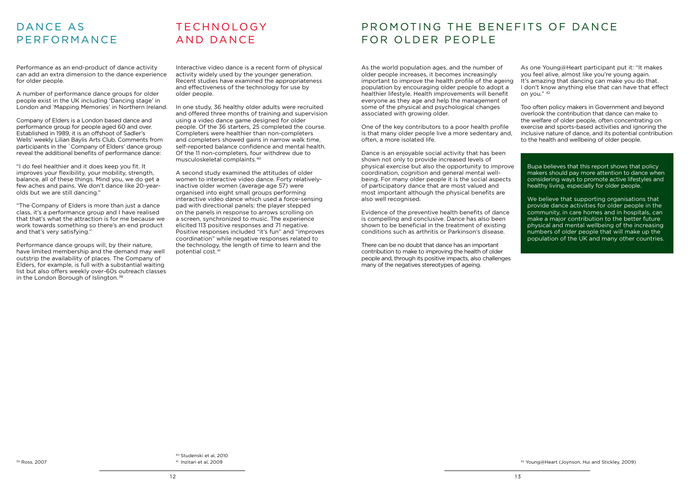# DANCE AS **PERFORMANCE**

Performance as an end-product of dance activity can add an extra dimension to the dance experience for older people.

A number of performance dance groups for older people exist in the UK including 'Dancing stage' in London and 'Mapping Memories' in Northern Ireland.

Company of Elders is a London based dance and performance group for people aged 60 and over. Established in 1989, it is an offshoot of Sadler's Wells' weekly Lilian Baylis Arts Club. Comments from participants in the `Company of Elders' dance group reveal the additional benefits of performance dance:

Performance dance groups will, by their nature, have limited membership and the demand may well outstrip the availability of places. The Company of Elders, for example, is full with a substantial waiting list but also offers weekly over-60s outreach classes in the London Borough of Islington.<sup>39</sup>

# **TECHNOLOGY** AND DANCE

"I do feel healthier and it does keep you fit. It improves your flexibility, your mobility, strength, balance, all of these things. Mind you, we do get a few aches and pains. We don't dance like 20-yearolds but we are still dancing."

"The Company of Elders is more than just a dance class, it's a performance group and I have realised that that's what the attraction is for me because we work towards something so there's an end product and that's very satisfying."

<sup>39</sup> Ross, 2007

Interactive video dance is a recent form of physical activity widely used by the younger generation. Recent studies have examined the appropriateness and effectiveness of the technology for use by older people.

In one study, 36 healthy older adults were recruited and offered three months of training and supervision using a video dance game designed for older people. Of the 36 starters, 25 completed the course. Completers were healthier than non-completers and completers showed gains in narrow walk time, self-reported balance confidence and mental health. Of the 11 non-completers, four withdrew due to musculoskeletal complaints.40

A second study examined the attitudes of older women to interactive video dance. Forty relativelyinactive older women (average age 57) were organised into eight small groups performing interactive video dance which used a force-sensing pad with directional panels: the player stepped on the panels in response to arrows scrolling on a screen, synchronized to music. The experience elicited 113 positive responses and 71 negative. Positive responses included "it's fun" and "improves coordination" while negative responses related to the technology, the length of time to learn and the potential cost.41

# PROMOTING THE BENEFITS OF DANCE FOR OLDER PEOPLE

<sup>40</sup> Studenski et al, 2010 <sup>41</sup> Inzitari et al, 2009

One of the key contributors to a poor health profile is that many older people live a more sedentary and, often, a more isolated life.

Dance is an enjoyable social activity that has been shown not only to provide increased levels of physical exercise but also the opportunity to improve coordination, cognition and general mental wellbeing. For many older people it is the social aspects of participatory dance that are most valued and most important although the physical benefits are also well recognised.

As the world population ages, and the number of older people increases, it becomes increasingly important to improve the health profile of the ageing population by encouraging older people to adopt a healthier lifestyle. Health improvements will benefit everyone as they age and help the management of some of the physical and psychological changes associated with growing older. As one Young@Heart participant put it: "It makes you feel alive, almost like you're young again. It's amazing that dancing can make you do that. I don't know anything else that can have that effect on you." 42 Too often policy makers in Government and beyond overlook the contribution that dance can make to

Evidence of the preventive health benefits of dance is compelling and conclusive. Dance has also been shown to be beneficial in the treatment of existing conditions such as arthritis or Parkinson's disease.

There can be no doubt that dance has an important contribution to make to improving the health of older people and, through its positive impacts, also challenges many of the negatives stereotypes of ageing.

the welfare of older people, often concentrating on exercise and sports-based activities and ignoring the inclusive nature of dance, and its potential contribution to the health and wellbeing of older people.

Bupa believes that this report shows that policy makers should pay more attention to dance when considering ways to promote active lifestyles and healthy living, especially for older people.

We believe that supporting organisations that provide dance activities for older people in the community, in care homes and in hospitals, can make a major contribution to the better future physical and mental wellbeing of the increasing numbers of older people that will make up the population of the UK and many other countries.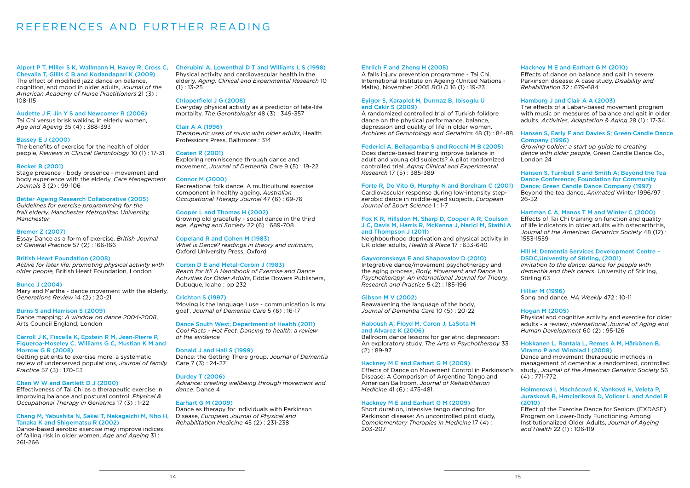# REFERENCES AND FURTHER READING

Alpert P T, Miller S K, Wallmann H, Havey R, Cross C, Chevalia T, Gillis C B and Kodandapari K (2009) The effect of modified jazz dance on balance,

cognition, and mood in older adults, *Journal of the American Academy of Nurse Practitioners* 21 (3) : 108-115

### Audette J F, Jin Y S and Newcomer R (2006)

Tai Chi versus brisk walking in elderly women, *Age and Ageing* 35 (4) : 388-393

### Bassey E J (2000)

The benefits of exercise for the health of older people, *Reviews in Clinical Gerontology* 10 (1) : 17-31

### Becker B (2001)

Stage presence - body presence - movement and body experience with the elderly, *Care Management Journals* 3 (2) : 99-106

### Better Ageing Research Collaborative (2005)

*Guidelines for exercise programming for the frail elderly, Manchester Metroplitan University, Manchester*

### Bremer Z (2007)

Essay Dance as a form of exercise, *British Journal of General Practice* 57 (2) : 166-166

### British Heart Foundation (2008)

Physical activity and cardiovascular health in the elderly, *Aging: Clinical and Experimental Research* 10  $(1) : 13 - 25$ 

*Active for later life: promoting physical activity with older people,* British Heart Foundation, London

### Bunce J (2004)

Mary and Martha - dance movement with the elderly, *Generations Review* 14 (2) : 20-21

### Burns S and Harrison S (2009)

Dance mapping: *A window on dance 2004-2008*, Arts Council England, London

### Carroll J K, Fiscella K, Epstein R M, Jean-Pierre P, Figueroa-Moseley C, Williams G C, Mustian K M and Morrow G R (2008)

Getting patients to exercise more: a systematic review of underserved populations, *Journal of family Practice* 57 (3) : 170-E3

### Chan W W and Bartlett D J (2000)

Effectiveness of Tai Chi as a therapeutic exercise in improving balance and postural control, *Physical & Occupational Therapy in Geriatrics* 17 (3) : 1-22

### Chang M, Yabushita N, Sakai T, Nakagaichi M, Nho H, Tanaka K and Shigematsu R (2002)

Dance-based aerobic exercise may improve indices of falling risk in older women, *Age and Ageing* 31 : 261-266

### Cherubini A, Lowenthal D T and Williams L S (1998)

### Chipperfield J G (2008)

Everyday physical activity as a predictor of late-life mortality, *The Gerontologist* 48 (3) : 349-357

### Clair A A (1996)

*Therapeutic uses of music with older adults*, Health Professions Press, Baltimore : 314

### Coaten R (2001)

Exploring reminiscence through dance and movement, *Journal of Dementia Care* 9 (5) : 19-22

### Connor M (2000)

Recreational folk dance: A multicultural exercise component in healthy ageing, *Australian Occupational Therapy Journal* 47 (6) : 69-76

### Cooper L and Thomas H (2002)

Growing old gracefully - social dance in the third age, *Ageing and Society* 22 (6) : 689-708

### Copeland R and Cohen M (1983)

*What is Dance? readings in theory and criticism*, Oxford University Press, Oxford

### Corbin D E and Metal-Corbin J (1983)

*Reach for It!! A Handbook of Exercise and Dance Activities for Older Adults*, Eddie Bowers Publishers, Dubuque, Idaho : pp 232

### Crichton S (1997)

'Moving is the language I use - communication is my goal', *Journal of Dementia Care* 5 (6) : 16-17

### Dance South West; Department of Health (2011)

*Cool Facts - Hot Feet. Dancing to health: a review of the evidence*

### Donald J and Hall S (1999)

Dance: the Getting There group, *Journal of Dementia*  Care 7 (3) : 24-27

### Durdey T (2006)

*Advance: creating wellbeing through movement and dance*, Dance 4

### Earhart G M (2009)

Dance as therapy for individuals with Parkinson Disease, *European Journal of Physical and Rehabilitation Medicine* 45 (2) : 231-238

### Ehrlich F and Zheng H (2005)

A falls injury prevention programme - Tai Chi, International Institute on Ageing (United Nations - Malta), November 2005 *BOLD* 16 (1) : 19-23

### Eyigor S, Karaplot H, Durmaz B, Ibisoglu U and Cakir S (2009)

A randomized controlled trial of Turkish folklore dance on the physical performance, balance, depression and quality of life in older women, *Archives of Gerontology and Geriatrics* 48 (1) : 84-88

### Federici A, Bellagamba S and Rocchi M B (2005)

Does dance-based training improve balance in adult and young old subjects? A pilot randomized controlled trial, *Aging Clinical and Experimental Research* 17 (5) : 385-389

### Forte R, De Vito G, Murphy N and Boreham C (2001)

Cardiovascular response during low-intensity stepaerobic dance in middle-aged subjects, *European Journal of Sport Science* 1 : 1-7

#### Fox K R, Hillsdon M, Sharp D, Cooper A R, Coulson J C, Davis M, Harris R, McKenna J, Narici M, Stathi A and Thompson J (2011)

Neighbourhood deprivation and physical activity in UK older adults, *Health & Place* 17 : 633-640

### Gayvoronskaya E and Shapovalov D (2010)

Integrative dance/movement psychotherapy and the aging process, *Body, Movement and Dance in Psychotherapy: An International Journal for Theory, Research and Practice* 5 (2) : 185-196

### Gibson M V (2002)

Reawakening the language of the body, *Journal of Dementia Care* 10 (5) : 20-22

### Haboush A, Floyd M, Caron J, LaSota M and Alvarez K (2006)

Ballroom dance lessons for geriatric depression: An exploratory study, *The Arts in Psychotherapy* 33 (2) : 89-97

### Hackney M E and Earhart G M (2009)

Effects of Dance on Movement Control in Parkinson's Disease: A Comparison of Argentine Tango and American Ballroom, *Journal of Rehabilitation Medicine* 41 (6) : 475-481

### Hackney M E and Earhart G M (2009)

Short duration, intensive tango dancing for Parkinson disease: An uncontrolled pilot study, *Complementary Therapies in Medicine* 17 (4) : 203-207

### Hackney M E and Earhart G M (2010)

Effects of dance on balance and gait in severe Parkinson disease: A case study, *Disability and Rehabilitation* 32 : 679-684

### Hamburg J and Clair A A (2003)

The effects of a Laban-based movement program with music on measures of balance and gait in older adults, *Activities, Adaptation & Aging* 28 (1) : 17-34

### Hansen S, Early F and Davies S; Green Candle Dance Company (1996)

*Growing bolder: a start up guide to creating dance with older people*, Green Candle Dance Co., London 24

Hansen S, Turnbull S and Smith A; Beyond the Tea Dance Conference; Foundation for Community Dance; Green Candle Dance Company (1997) Beyond the tea dance, *Animated* Winter 1996/97 : 26-32

### Hartman C A, Manos T M and Winter C (2000)

Effects of Tai Chi training on function and quality of life indicators in older adults with osteoarthritis, *Journal of the American Geriatrics Society* 48 (12) : 1553-1559

### Hill H; Dementia Services Development Centre - DSDC,University of Stirling, (2001)

*Invitation to the dance: dance for people with dementia and their carers*, University of Stirling, Stirling 63

Hillier M (1996) Song and dance, *HA Weekly* 472 : 10-11

### Hogan M (2005)

Physical and cognitive activity and exercise for older adults - a review, *International Journal of Aging and Human Development* 60 (2) : 95-126

### Hokkanen L, Rantala L, Remes A M, Härkönen B, Viramo P and Winblad I (2008)

Dance and movement therapeutic methods in management of dementia: a randomized, controlled study., *Journal of the American Geriatric Society* 56 (4) : 771-772

### Holmerová I, Machácová K, Vanková H, Veleta P, Jurasková B, Hrnciariková D, Volicer L and Andel R (2010)

Effect of the Exercise Dance for Seniors (EXDASE) Program on Lower-Body Functioning Among Institutionalized Older Adults, *Journal of Ageing and Health* 22 (1) : 106-119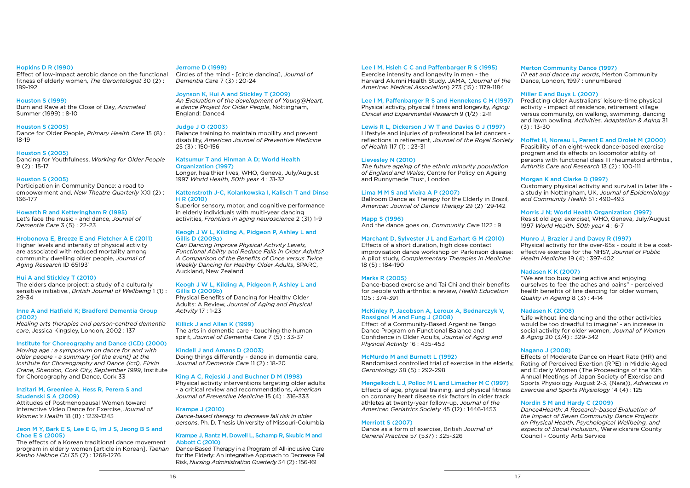### Hopkins D R (1990)

Effect of low-impact aerobic dance on the functional fitness of elderly women, *The Gerontologist* 30 (2) : 189-192

#### Houston S (1999)

Burn and Rave at the Close of Day, *Animated* Summer (1999) : 8-10

#### Houston S (2005)

Dance for Older People, *Primary Health Care* 15 (8) : 18-19

#### Houston S (2005)

Dancing for Youthfulness, *Working for Older People* 9 (2) : 15-17

#### Houston S (2005)

Participation in Community Dance: a road to empowerment and, *New Theatre Quarterly* XXI (2) : 166-177

### Howarth R and Ketteringham R (1995)

Let's face the music - and dance, *Journal of Dementia Care* 3 (5) : 22-23

#### Hrobonova E, Breeze E and Fletcher A E (2011)

Higher levels and intensity of physical activity are associated with reduced mortality among community dwelling older people, *Journal of Aging Research* ID 651931

### Hui A and Stickley T (2010)

The elders dance project: a study of a culturally sensitive initiative., *British Journal of Wellbeing* 1 (1) : 29-34

### Inne A and Hatfield K; Bradford Dementia Group (2002)

*Healing arts therapies and person-centred dementia care*, Jessica Kingsley, London, 2002 : 137

### Institute for Choreography and Dance (ICD) (2000)

*Moving age : a symposium on dance for and with older people - a summary [of the event] at the Institute for Choreography and Dance (icd), Firkin Crane, Shandon, Cork City, September 1999*, Institute for Choreography and Dance, Cork 33

### Inzitari M, Greenlee A, Hess R, Perera S and Studenski S A (2009)

Attitudes of Postmenopausal Women toward Interactive Video Dance for Exercise, *Journal of Women's Health* 18 (8) : 1239-1243

### Jeon M Y, Bark E S, Lee E G, Im J S, Jeong B S and Choe E S (2005)

The effects of a Korean traditional dance movement program in elderly women [article in Korean], *Taehan Kanho Hakhoe Chi* 35 (7) : 1268-1276

### Jerrome D (1999)

Circles of the mind - [circle dancing], *Journal of Dementia Care* 7 (3) : 20-24

#### Joynson K, Hui A and Stickley T (2009)

*An Evaluation of the development of Young@Heart, a dance Project for Older People*, Nottingham, England: Dance4

### Judge J O (2003)

Balance training to maintain mobility and prevent disability, *American Journal of Preventive Medicine*  25 (3) : 150-156

### Katsumur T and Hinman A D; World Health

### Organization (1997)

Longer, healthier lives, WHO, Geneva, July/August 1997 *World Health, 50th year* 4 : 31-32

#### Kattenstroth J-C, Kolankowska I, Kalisch T and Dinse H R (2010)

Superior sensory, motor, and cognitive performance in elderly individuals with multi-year dancing activities, *Frontiers in aging neuroscience* 2 (31) 1-9

### Keogh J W L, Kilding A, Pidgeon P, Ashley L and Gillis D (2009a)

*Can Dancing Improve Physical Activity Levels, Functional Ability and Reduce Falls in Older Adults? A Comparison of the Benefits of Once versus Twice Weekly Dancing for Healthy Older Adults*, SPARC, Auckland, New Zealand

### Keogh J W L, Kilding A, Pidgeon P, Ashley L and Gillis D (2009b)

Physical Benefits of Dancing for Healthy Older Adults: A Review, *Journal of Aging and Physical Activity* 17 : 1-23

### Killick J and Allan K (1999)

The arts in dementia care - touching the human spirit, *Journal of Dementia Care* 7 (5) : 33-37

#### Kindell J and Amans D (2003)

Doing things differently - dance in dementia care, *Journal of Dementia Care* 11 (2) : 18-20

### King A C, Rejeski J and Buchner D M (1998)

Physical activity interventions targeting older adults - a critical review and recommendations, *American Journal of Preventive Medicine* 15 (4) : 316-333

### Krampe J (2010)

*Dance-based therapy to decrease fall risk in older persons*, Ph. D. Thesis University of Missouri-Columbia

#### Krampe J, Rantz M, Dowell L, Schamp R, Skubic M and Abbott C (2010)

Dance-Based Therapy in a Program of All-inclusive Care for the Elderly: An Integrative Approach to Decrease Fall Risk, *Nursing Administration Quarterly* 34 (2) : 156-161

### Lee I M, Hsieh C C and Paffenbarger R S (1995)

Exercise intensity and longevity in men - the Harvard Alumni Health Study, JAMA, (*Journal of the American Medical Association*) 273 (15) : 1179-1184

#### Lee I M, Paffenbarger R S and Hennekens C H (1997)

Physical activity, physical fitness and longevity, *Aging: Clinical and Experimental Research* 9 (1/2) : 2-11

### Lewis R L, Dickerson J W T and Davies G J (1997)

Lifestyle and injuries of professional ballet dancers reflections in retirement, *Journal of the Royal Society of Health* 117 (1) : 23-31

#### Lievesley N (2010)

*The future ageing of the ethnic minority population of England and Wales*, Centre for Policy on Ageing and Runnymede Trust, London

#### Lima M M S and Vieira A P (2007)

Ballroom Dance as Therapy for the Elderly in Brazil, *American Journal of Dance Therapy* 29 (2) 129-142

### Mapp S (1996)

And the dance goes on, *Community Care* 1122 : 9

### Marchant D, Sylvester J L and Earhart G M (2010)

#### Marks R (2005)

Dance-based exercise and Tai Chi and their benefits for people with arthritis: a review, *Health Education*  105 : 374-391

### McKinley P, Jacobson A, Leroux A, Bednarczyk V, Rossignol M and Fung J (2008)

Effect of a Community-Based Argentine Tango Dance Program on Functional Balance and Confidence in Older Adults, *Journal of Aging and Physical Activity* 16 : 435-453

#### McMurdo M and Burnett L (1992)

Randomised controlled trial of exercise in the elderly, *Gerontology* 38 (5) : 292-298

### Mengelkoch L J, Polloc M L and Limacher M C (1997)

Effects of age, physical training, and physical fitness on coronary heart disease risk factors in older track athletes at twenty-year follow-up, *Journal of the American Geriatrics Society* 45 (12) : 1446-1453

#### Merriott S (2007)

Dance as a form of exercise, British *Journal of General Practice* 57 (537) : 325-326

### Merton Community Dance (1997)

Effects of a short duration, high dose contact improvisation dance workshop on Parkinson disease: A pilot study, *Complementary Therapies in Medicine*  18 (5) : 184-190 Physical activity for the over-65s - could it be a costeffective exercise for the NHS?, *Journal of Public Health Medicine* 19 (4) : 397-402

*I'll eat and dance my words*, Merton Community Dance, London, 1997 : unnumbered

### Miller E and Buys L (2007)

Predicting older Australians' leisure-time physical activity - impact of residence, retirement village versus community, on walking, swimming, dancing and lawn bowling, *Activities, Adaptation & Aging* 31 (3) : 13-30

### Moffet H, Noreau L, Parent E and Drolet M (2000)

Feasibility of an eight-week dance-based exercise program and its effects on locomotor ability of persons with functional class III rheumatoid arthritis., *Arthritis Care and Research* 13 (2) : 100-111

### Morgan K and Clarke D (1997)

Customary physical activity and survival in later life a study in Nottingham, UK, *Journal of Epidemiology and Community Health* 51 : 490-493

### Morris J N; World Health Organization (1997)

Resist old age: exercise!, WHO, Geneva, July/August 1997 *World Health, 50th year* 4 : 6-7

### Munro J, Brazier J and Davey R (1997)

### Nadasen K K (2007)

"We are too busy being active and enjoying ourselves to feel the aches and pains" - perceived health benefits of line dancing for older women, *Quality in Ageing* 8 (3) : 4-14

### Nadasen K (2008)

'Life without line dancing and the other activities would be too dreadful to imagine' - an increase in social activity for older women, *Journal of Women & Aging* 20 (3/4) : 329-342

### Nagano J (2008)

Effects of Moderate Dance on Heart Rate (HR) and Rating of Perceived Exertion (RPE) in Middle-Aged and Elderly Women (The Proceedings of the 16th Annual Meetings of Japan Society of Exercise and Sports Physiology August 2-3, (Nara)), *Advances in Exercise and Sports Physiology* 14 (4) : 125

### Nordin S M and Hardy C (2009)

*Dance4Health: A Research-based Evaluation of the Impact of Seven Community Dance Projects on Physical Health, Psychological Wellbeing, and aspects of Social Inclusion.*, Warwickshire County Council - County Arts Service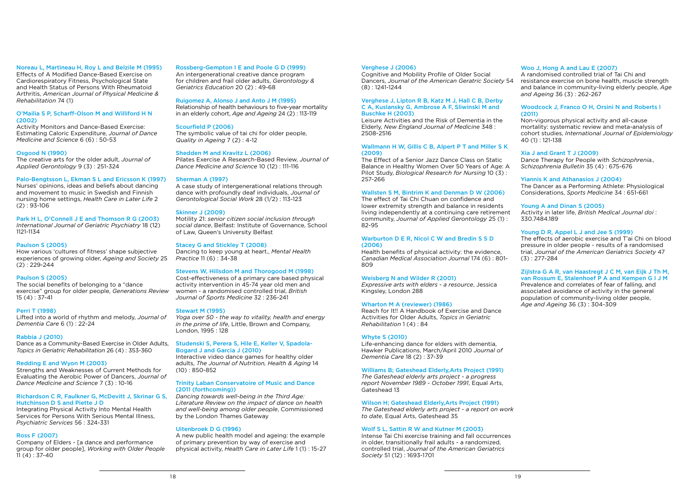### Noreau L, Martineau H, Roy L and Belzile M (1995)

Effects of A Modified Dance-Based Exercise on Cardiorespiratory Fitness, Psychological State and Health Status of Persons With Rheumatoid Arthritis, *American Journal of Physical Medicine & Rehabilitation* 74 (1)

### O'Mailia S P, Scharff-Olson M and Williford H N (2002)

Activity Monitors and Dance-Based Exercise: Estimating Caloric Expenditure, *Journal of Dance Medicine and Science* 6 (6) : 50-53

How various 'cultures of fitness' shape subjective experiences of growing older, *Ageing and Society* 25  $(2) : 229 - 244$ 

### Osgood N (1990)

The creative arts for the older adult, *Journal of Applied Gerontology* 9 (3) : 251-324

### Palo-Bengtsson L, Ekman S L and Ericsson K (1997)

Nurses' opinions, ideas and beliefs about dancing and movement to music in Swedish and Finnish nursing home settings, *Health Care in Later Life* 2 (2) : 93-106

### Park H L, O'Connell J E and Thomson R G (2003) *International Journal of Geriatric Psychiatry* 18 (12)

1121-1134

Company of Elders - [a dance and performance group for older people], *Working with Older People*  $11 (4) : 37-40$ 

### Paulson S (2005)

#### Paulson S (2005)

The social benefits of belonging to a "dance exercise" group for older people, *Generations Review* 15 (4) : 37-41

#### Perri T (1998)

Lifted into a world of rhythm and melody, *Journal of Dementia Care* 6 (1) : 22-24

### Rabbia J (2010)

Dance as a Community-Based Exercise in Older Adults, *Topics in Geriatric Rehabilitation* 26 (4) : 353-360

### Redding E and Wyon M (2003)

Strengths and Weaknesses of Current Methods for Evaluating the Aerobic Power of Dancers, *Journal of Dance Medicine and Science* 7 (3) : 10-16

### Richardson C R, Faulkner G, McDevitt J, Skrinar G S, Hutchinson D S and Piette J D

Integrating Physical Activity Into Mental Health Services for Persons With Serious Mental Illness, *Psychiatric Services* 56 : 324-331

### Ross F (2007)

#### Rossberg-Gempton I E and Poole G D (1999)

An intergenerational creative dance program for children and frail older adults, *Gerontology & Geriatrics Education* 20 (2) : 49-68

#### Ruigomez A, Alonso J and Anto J M (1995)

Relationship of health behaviours to five-year mortality in an elderly cohort, *Age and Ageing* 24 (2) : 113-119

### Scourfield P (2006)

The symbolic value of tai chi for older people, *Quality in Ageing* 7 (2) : 4-12

#### Shedden M and Kravitz L (2006)

Pilates Exercise A Research-Based Review, *Journal of Dance Medicine and Science* 10 (12) : 111-116

#### Sherman A (1997)

A case study of intergenerational relations through dance with profoundly deaf individuals, *Journal of Gerontological Social Work* 28 (1/2) : 113-123

### Skinner J (2009)

Motility 21: *senior citizen social inclusion through social dance*, Belfast: Institute of Governance, School of Law, Queen's University Belfast

#### Stacey G and Stickley T (2008)

Dancing to keep young at heart., *Mental Health Practice* 11 (6) : 34-38

#### Stevens W, Hillsdon M and Thorogood M (1998)

Cost-effectiveness of a primary care based physical activity intervention in 45-74 year old men and women - a randomised controlled trial, *British Journal of Sports Medicine* 32 : 236-241

### Stewart M (1995)

*Yoga over 50 - the way to vitality, health and energy in the prime of life*, Little, Brown and Company, London, 1995 : 128

### Studenski S, Perera S, Hile E, Keller V, Spadola-Bogard J and Garcia J (2010)

Interactive video dance games for healthy older adults, *The Journal of Nutrition, Health & Aging* 14 (10) : 850-852

### Trinity Laban Conservatoire of Music and Dance (2011 (forthcoming))

*Dancing towards well-being in the Third Age: Literature Review on the impact of dance on health and well-being among older people*, Commissioned by the London Thames Gateway

### Uitenbroek D G (1996)

A new public health model and ageing: the example of primary prevention by way of exercise and physical activity, *Health Care in Later Life* 1 (1) : 15-27

#### Verghese J (2006)

Cognitive and Mobility Profile of Older Social Dancers, *Journal of the American Geratric Society* 54 (8) : 1241-1244

### Verghese J, Lipton R B, Katz M J, Hall C B, Derby C A, Kuslansky G, Ambrose A F, Sliwinski M and Buschke H (2003)

Leisure Activities and the Risk of Dementia in the Elderly, *New England Journal of Medicine* 348 : 2508-2516

### Wallmann H W, Gillis C B, Alpert P T and Miller S K (2009)

The Effect of a Senior Jazz Dance Class on Static Balance in Healthy Women Over 50 Years of Age: A Pilot Study, *Biological Research for Nursing* 10 (3) : 257-266

### Wallsten S M, Bintrim K and Denman D W (2006)

The effect of Tai Chi Chuan on confidence and lower extremity strength and balance in residents living independently at a continuing care retirement community, *Journal of Applied Gerontology* 25 (1) : 82-95

### Warburton D E R, Nicol C W and Bredin S S D (2006)

Health benefits of physical activity: the evidence, *Canadian Medical Association Journal* 174 (6) : 801- 809

### Weisberg N and Wilder R (2001)

*Expressive arts with elders - a resource*, Jessica Kingsley, London 288

### Wharton M A (reviewer) (1986)

Reach for It!! A Handbook of Exercise and Dance Activities for Older Adults, *Topics in Geriatric Rehabilitation* 1 (4) : 84

#### Whyte S (2010)

Life-enhancing dance for elders with dementia, Hawker Publications, March/April 2010 *Journal of Dementia Care* 18 (2) : 37-39

### Williams B; Gateshead Elderly,Arts Project (1991)

*The Gateshead elderly arts project - a progress report November 1989 - October 1991*, Equal Arts, Gateshead 13

### Wilson H; Gateshead Elderly,Arts Project (1991)

*The Gateshead elderly arts project - a report on work to date*, Equal Arts, Gateshead 35

### Wolf S L, Sattin R W and Kutner M (2003)

Intense Tai Chi exercise training and fall occurrences in older, transitionally frail adults - a randomized, controlled trial, *Journal of the American Geriatrics Society* 51 (12) : 1693-1701

### Woo J, Hong A and Lau E (2007)

A randomised controlled trial of Tai Chi and resistance exercise on bone health, muscle strength and balance in community-living elderly people, *Age and Ageing* 36 (3) : 262-267

### Woodcock J, Franco O H, Orsini N and Roberts I (2011)

Non-vigorous physical activity and all-cause mortality: systematic review and meta-analysis of cohort studies, *International Journal of Epidemiology*  40 (1) : 121-138

### Xia J and Grant T J (2009)

Dance Therapy for People with *Schizophrenia., Schizophrenia Bulletin* 35 (4) : 675-676

### Yiannis K and Athanasios J (2004)

The Dancer as a Performing Athlete: Physiological Considerations, *Sports Medicine* 34 : 651-661

### Young A and Dinan S (2005)

Activity in later life, *British Medical Journal doi* : 330.7484.189

### Young D R, Appel L J and Jee S (1999)

The effects of aerobic exercise and T'ai Chi on blood pressure in older people - results of a randomised trial, *Journal of the American Geriatrics Society* 47 (3) : 277-284

### Zijlstra G A R, van Haastregt J C M, van Eijk J Th M, van Rossum E, Stalenhoef P A and Kempen G I J M

Prevalence and correlates of fear of falling, and associated avoidance of activity in the general population of community-living older people, *Age and Ageing* 36 (3) : 304-309